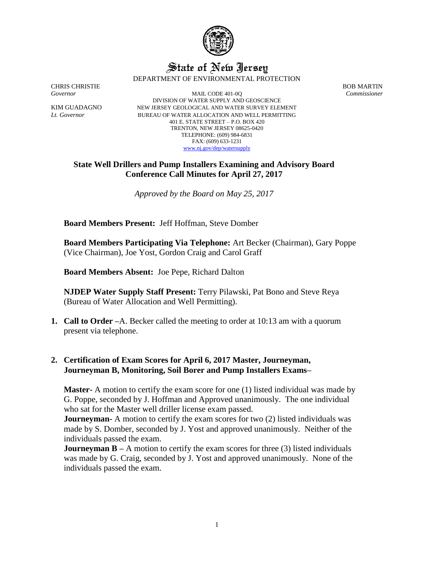

## State of New Jersey DEPARTMENT OF ENVIRONMENTAL PROTECTION

CHRIS CHRISTIE BOB MARTIN

*Governor* MAIL CODE 401-0Q *Commissioner* DIVISION OF WATER SUPPLY AND GEOSCIENCE KIM GUADAGNO NEW JERSEY GEOLOGICAL AND WATER SURVEY ELEMENT *Lt. Governor* BUREAU OF WATER ALLOCATION AND WELL PERMITTING 401 E. STATE STREET – P.O. BOX 420 TRENTON, NEW JERSEY 08625-0420 TELEPHONE: (609) 984-6831 FAX: (609) 633-1231 [www.nj.gov/dep/watersupply](http://www.nj.gov/dep/watersupply)

## **State Well Drillers and Pump Installers Examining and Advisory Board Conference Call Minutes for April 27, 2017**

*Approved by the Board on May 25, 2017*

**Board Members Present:** Jeff Hoffman, Steve Domber

**Board Members Participating Via Telephone:** Art Becker (Chairman), Gary Poppe (Vice Chairman), Joe Yost, Gordon Craig and Carol Graff

**Board Members Absent:** Joe Pepe, Richard Dalton

**NJDEP Water Supply Staff Present:** Terry Pilawski, Pat Bono and Steve Reya (Bureau of Water Allocation and Well Permitting).

**1. Call to Order –**A. Becker called the meeting to order at 10:13 am with a quorum present via telephone.

## **2. Certification of Exam Scores for April 6, 2017 Master, Journeyman, Journeyman B, Monitoring, Soil Borer and Pump Installers Exams–**

**Master-** A motion to certify the exam score for one (1) listed individual was made by G. Poppe, seconded by J. Hoffman and Approved unanimously. The one individual who sat for the Master well driller license exam passed.

**Journeyman-** A motion to certify the exam scores for two (2) listed individuals was made by S. Domber, seconded by J. Yost and approved unanimously. Neither of the individuals passed the exam.

**Journeyman B** – A motion to certify the exam scores for three (3) listed individuals was made by G. Craig, seconded by J. Yost and approved unanimously. None of the individuals passed the exam.